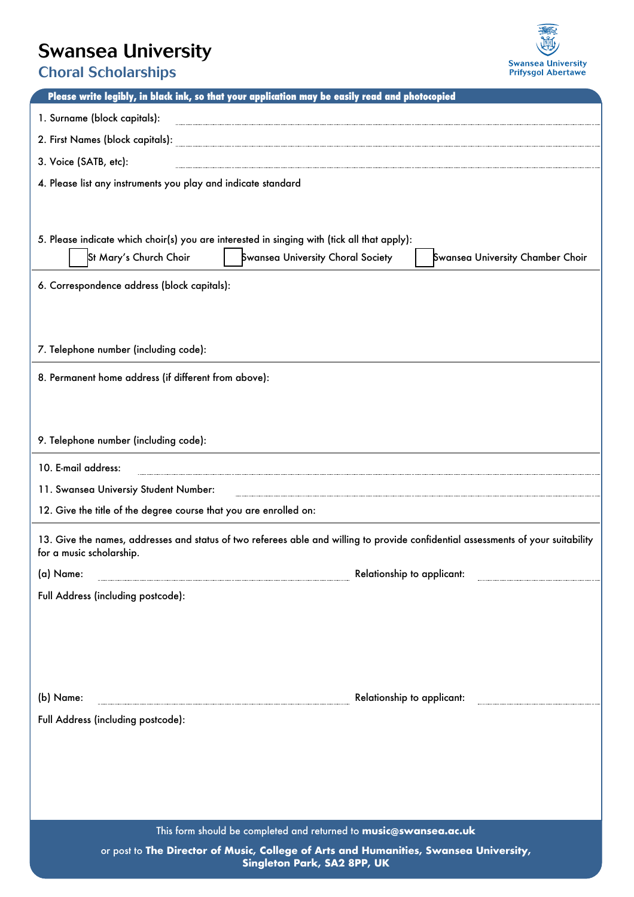## Swansea University



Choral Scholarships

| Please write legibly, in black ink, so that your application may be easily read and photocopied                                                                                                |  |  |  |  |  |  |  |  |  |  |  |
|------------------------------------------------------------------------------------------------------------------------------------------------------------------------------------------------|--|--|--|--|--|--|--|--|--|--|--|
| 1. Surname (block capitals):                                                                                                                                                                   |  |  |  |  |  |  |  |  |  |  |  |
|                                                                                                                                                                                                |  |  |  |  |  |  |  |  |  |  |  |
| 3. Voice (SATB, etc):                                                                                                                                                                          |  |  |  |  |  |  |  |  |  |  |  |
| 4. Please list any instruments you play and indicate standard                                                                                                                                  |  |  |  |  |  |  |  |  |  |  |  |
|                                                                                                                                                                                                |  |  |  |  |  |  |  |  |  |  |  |
|                                                                                                                                                                                                |  |  |  |  |  |  |  |  |  |  |  |
| 5. Please indicate which choir(s) you are interested in singing with (tick all that apply):<br>St Mary's Church Choir<br>Swansea University Choral Society<br>Swansea University Chamber Choir |  |  |  |  |  |  |  |  |  |  |  |
|                                                                                                                                                                                                |  |  |  |  |  |  |  |  |  |  |  |
| 6. Correspondence address (block capitals):                                                                                                                                                    |  |  |  |  |  |  |  |  |  |  |  |
|                                                                                                                                                                                                |  |  |  |  |  |  |  |  |  |  |  |
|                                                                                                                                                                                                |  |  |  |  |  |  |  |  |  |  |  |
| 7. Telephone number (including code):                                                                                                                                                          |  |  |  |  |  |  |  |  |  |  |  |
| 8. Permanent home address (if different from above):                                                                                                                                           |  |  |  |  |  |  |  |  |  |  |  |
|                                                                                                                                                                                                |  |  |  |  |  |  |  |  |  |  |  |
|                                                                                                                                                                                                |  |  |  |  |  |  |  |  |  |  |  |
| 9. Telephone number (including code):                                                                                                                                                          |  |  |  |  |  |  |  |  |  |  |  |
| 10. E-mail address:                                                                                                                                                                            |  |  |  |  |  |  |  |  |  |  |  |
| 11. Swansea Universiy Student Number:                                                                                                                                                          |  |  |  |  |  |  |  |  |  |  |  |
| 12. Give the title of the degree course that you are enrolled on:                                                                                                                              |  |  |  |  |  |  |  |  |  |  |  |
| 13. Give the names, addresses and status of two referees able and willing to provide confidential assessments of your suitability<br>for a music scholarship.                                  |  |  |  |  |  |  |  |  |  |  |  |
| (a) Name:<br>Relationship to applicant:                                                                                                                                                        |  |  |  |  |  |  |  |  |  |  |  |
| Full Address (including postcode):                                                                                                                                                             |  |  |  |  |  |  |  |  |  |  |  |
|                                                                                                                                                                                                |  |  |  |  |  |  |  |  |  |  |  |
|                                                                                                                                                                                                |  |  |  |  |  |  |  |  |  |  |  |
|                                                                                                                                                                                                |  |  |  |  |  |  |  |  |  |  |  |
|                                                                                                                                                                                                |  |  |  |  |  |  |  |  |  |  |  |
| Relationship to applicant:<br>(b) Name:                                                                                                                                                        |  |  |  |  |  |  |  |  |  |  |  |
| Full Address (including postcode):                                                                                                                                                             |  |  |  |  |  |  |  |  |  |  |  |
|                                                                                                                                                                                                |  |  |  |  |  |  |  |  |  |  |  |
|                                                                                                                                                                                                |  |  |  |  |  |  |  |  |  |  |  |
|                                                                                                                                                                                                |  |  |  |  |  |  |  |  |  |  |  |
|                                                                                                                                                                                                |  |  |  |  |  |  |  |  |  |  |  |
| This form should be completed and returned to music@swansea.ac.uk<br>or post to The Director of Music, College of Arts and Humanities, Swansea University,                                     |  |  |  |  |  |  |  |  |  |  |  |
| Singleton Park, SA2 8PP, UK                                                                                                                                                                    |  |  |  |  |  |  |  |  |  |  |  |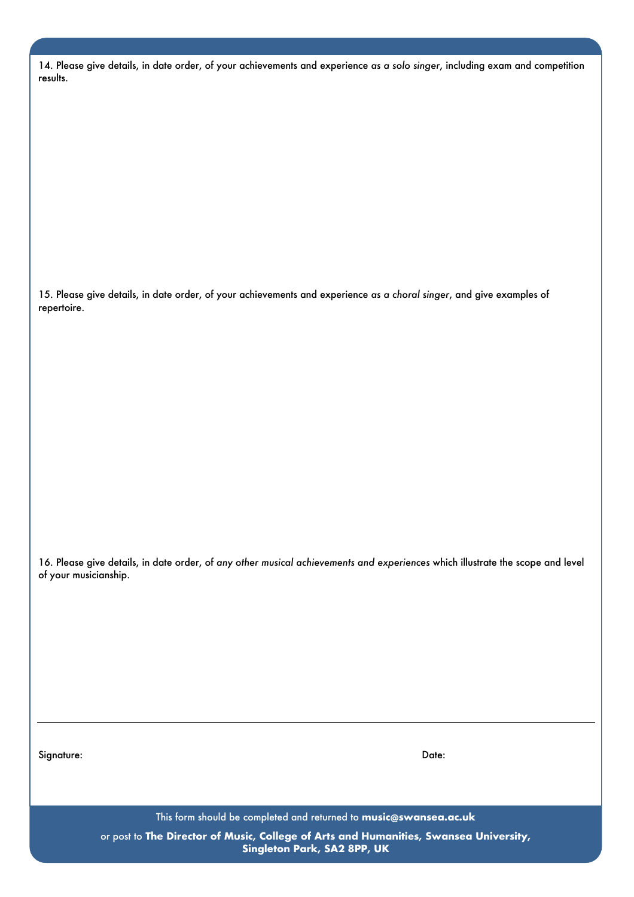|          |  |  |  |  | 14. Please give details, in date order, of your achievements and experience as a solo singer, including exam and competition |  |  |  |
|----------|--|--|--|--|------------------------------------------------------------------------------------------------------------------------------|--|--|--|
| results. |  |  |  |  |                                                                                                                              |  |  |  |

15. Please give details, in date order, of your achievements and experience *as a choral singer*, and give examples of repertoire.

16. Please give details, in date order, of *any other musical achievements and experiences* which illustrate the scope and level of your musicianship.

Signature: Date: Date:

This form should be completed and returned to **music@swansea.ac.uk**

or post to **The Director of Music, College of Arts and Humanities, Swansea University, Singleton Park, SA2 8PP, UK**